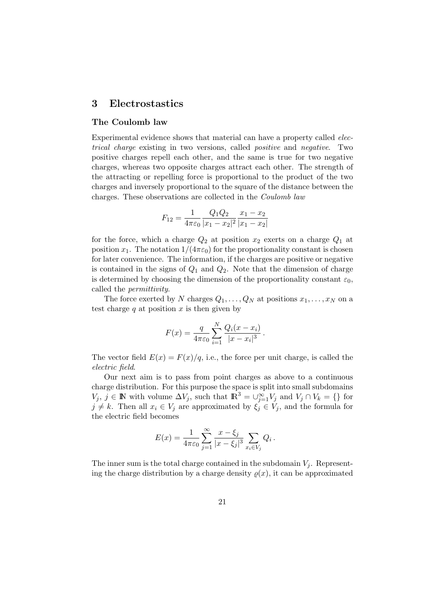## 3 Electrostastics

### The Coulomb law

Experimental evidence shows that material can have a property called electrical charge existing in two versions, called positive and negative. Two positive charges repell each other, and the same is true for two negative charges, whereas two opposite charges attract each other. The strength of the attracting or repelling force is proportional to the product of the two charges and inversely proportional to the square of the distance between the charges. These observations are collected in the Coulomb law

$$
F_{12} = \frac{1}{4\pi\varepsilon_0} \frac{Q_1 Q_2}{|x_1 - x_2|^2} \frac{x_1 - x_2}{|x_1 - x_2|}
$$

for the force, which a charge  $Q_2$  at position  $x_2$  exerts on a charge  $Q_1$  at position  $x_1$ . The notation  $1/(4\pi\varepsilon_0)$  for the proportionality constant is chosen for later convenience. The information, if the charges are positive or negative is contained in the signs of  $Q_1$  and  $Q_2$ . Note that the dimension of charge is determined by choosing the dimension of the proportionality constant  $\varepsilon_0$ , called the permittivity.

The force exerted by N charges  $Q_1, \ldots, Q_N$  at positions  $x_1, \ldots, x_N$  on a test charge q at position  $x$  is then given by

$$
F(x) = \frac{q}{4\pi\varepsilon_0} \sum_{i=1}^{N} \frac{Q_i(x - x_i)}{|x - x_i|^3}.
$$

The vector field  $E(x) = F(x)/q$ , i.e., the force per unit charge, is called the electric field.

Our next aim is to pass from point charges as above to a continuous charge distribution. For this purpose the space is split into small subdomains  $V_j, j \in \mathbb{N}$  with volume  $\Delta V_j$ , such that  $\mathbb{R}^3 = \bigcup_{j=1}^{\infty} V_j$  and  $V_j \cap V_k = \{\}\$ for  $j \neq k$ . Then all  $x_i \in V_j$  are approximated by  $\xi_j \in V_j$ , and the formula for the electric field becomes

$$
E(x) = \frac{1}{4\pi\varepsilon_0} \sum_{j=1}^{\infty} \frac{x - \xi_j}{|x - \xi_j|^3} \sum_{x_i \in V_j} Q_i.
$$

The inner sum is the total charge contained in the subdomain  $V_i$ . Representing the charge distribution by a charge density  $\rho(x)$ , it can be approximated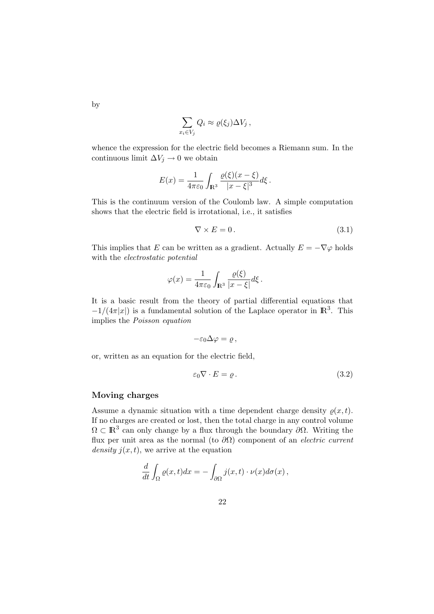$$
\sum_{x_i \in V_j} Q_i \approx \varrho(\xi_j) \Delta V_j \,,
$$

whence the expression for the electric field becomes a Riemann sum. In the continuous limit  $\Delta V_j \rightarrow 0$  we obtain

$$
E(x) = \frac{1}{4\pi\varepsilon_0} \int_{\mathbf{R}^3} \frac{\varrho(\xi)(x-\xi)}{|x-\xi|^3} d\xi.
$$

This is the continuum version of the Coulomb law. A simple computation shows that the electric field is irrotational, i.e., it satisfies

$$
\nabla \times E = 0. \tag{3.1}
$$

This implies that E can be written as a gradient. Actually  $E = -\nabla \varphi$  holds with the *electrostatic* potential

$$
\varphi(x) = \frac{1}{4\pi\varepsilon_0} \int_{\mathbb{R}^3} \frac{\varrho(\xi)}{|x - \xi|} d\xi.
$$

It is a basic result from the theory of partial differential equations that  $-1/(4\pi|x|)$  is a fundamental solution of the Laplace operator in  $\mathbb{R}^3$ . This implies the Poisson equation

$$
-\varepsilon_0\Delta\varphi=\varrho\,,
$$

or, written as an equation for the electric field,

$$
\varepsilon_0 \nabla \cdot E = \varrho \,. \tag{3.2}
$$

### Moving charges

Assume a dynamic situation with a time dependent charge density  $\rho(x, t)$ . If no charges are created or lost, then the total charge in any control volume  $\Omega \subset \mathbb{R}^3$  can only change by a flux through the boundary  $\partial\Omega$ . Writing the flux per unit area as the normal (to  $\partial\Omega$ ) component of an *electric current* density  $j(x, t)$ , we arrive at the equation

$$
\frac{d}{dt} \int_{\Omega} \varrho(x,t) dx = - \int_{\partial \Omega} j(x,t) \cdot \nu(x) d\sigma(x) ,
$$

by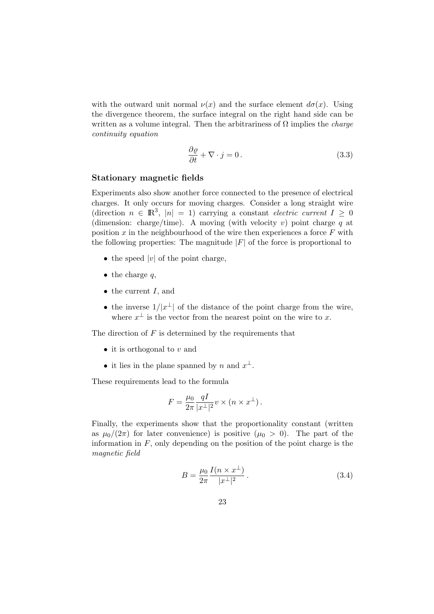with the outward unit normal  $\nu(x)$  and the surface element  $d\sigma(x)$ . Using the divergence theorem, the surface integral on the right hand side can be written as a volume integral. Then the arbitrariness of  $\Omega$  implies the *charge* continuity equation

$$
\frac{\partial \varrho}{\partial t} + \nabla \cdot j = 0. \tag{3.3}
$$

#### Stationary magnetic fields

Experiments also show another force connected to the presence of electrical charges. It only occurs for moving charges. Consider a long straight wire (direction  $n \in \mathbb{R}^3$ ,  $|n| = 1$ ) carrying a constant *electric current*  $I \geq 0$ (dimension: charge/time). A moving (with velocity v) point charge q at position  $x$  in the neighbourhood of the wire then experiences a force  $F$  with the following properties: The magnitude  $|F|$  of the force is proportional to

- the speed  $|v|$  of the point charge,
- $\bullet$  the charge q,
- $\bullet$  the current I, and
- the inverse  $1/|x^{\perp}|$  of the distance of the point charge from the wire, where  $x^{\perp}$  is the vector from the nearest point on the wire to x.

The direction of  $F$  is determined by the requirements that

- it is orthogonal to  $v$  and
- it lies in the plane spanned by n and  $x^{\perp}$ .

These requirements lead to the formula

$$
F = \frac{\mu_0}{2\pi} \frac{qI}{|x^{\perp}|^2} v \times (n \times x^{\perp}).
$$

Finally, the experiments show that the proportionality constant (written as  $\mu_0/(2\pi)$  for later convenience) is positive  $(\mu_0 > 0)$ . The part of the information in  $F$ , only depending on the position of the point charge is the magnetic field

$$
B = \frac{\mu_0}{2\pi} \frac{I(n \times x^{\perp})}{|x^{\perp}|^2} \,. \tag{3.4}
$$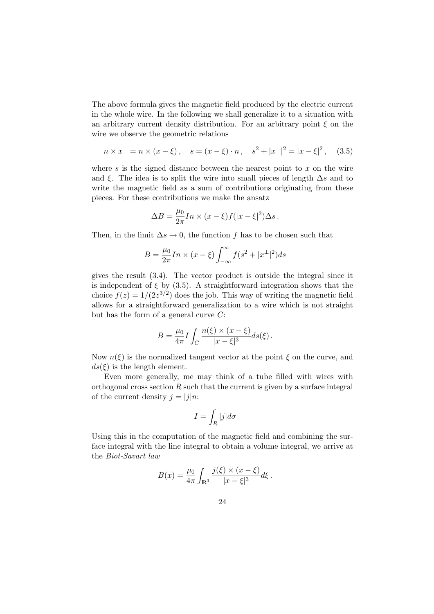The above formula gives the magnetic field produced by the electric current in the whole wire. In the following we shall generalize it to a situation with an arbitrary current density distribution. For an arbitrary point  $\xi$  on the wire we observe the geometric relations

$$
n \times x^{\perp} = n \times (x - \xi), \quad s = (x - \xi) \cdot n, \quad s^2 + |x^{\perp}|^2 = |x - \xi|^2, \quad (3.5)
$$

where  $s$  is the signed distance between the nearest point to  $x$  on the wire and  $\xi$ . The idea is to split the wire into small pieces of length  $\Delta s$  and to write the magnetic field as a sum of contributions originating from these pieces. For these contributions we make the ansatz

$$
\Delta B = \frac{\mu_0}{2\pi} \ln \times (x - \xi) f(|x - \xi|^2) \Delta s.
$$

Then, in the limit  $\Delta s \to 0$ , the function f has to be chosen such that

$$
B = \frac{\mu_0}{2\pi} In \times (x - \xi) \int_{-\infty}^{\infty} f(s^2 + |x^{\perp}|^2) ds
$$

gives the result (3.4). The vector product is outside the integral since it is independent of  $\xi$  by (3.5). A straightforward integration shows that the choice  $f(z) = 1/(2z^{3/2})$  does the job. This way of writing the magnetic field allows for a straightforward generalization to a wire which is not straight but has the form of a general curve C:

$$
B = \frac{\mu_0}{4\pi} I \int_C \frac{n(\xi) \times (x - \xi)}{|x - \xi|^3} ds(\xi).
$$

Now  $n(\xi)$  is the normalized tangent vector at the point  $\xi$  on the curve, and  $ds(\xi)$  is the length element.

Even more generally, me may think of a tube filled with wires with orthogonal cross section  $R$  such that the current is given by a surface integral of the current density  $j = |j|n$ :

$$
I=\int_R|j|d\sigma
$$

Using this in the computation of the magnetic field and combining the surface integral with the line integral to obtain a volume integral, we arrive at the Biot-Savart law

$$
B(x) = \frac{\mu_0}{4\pi} \int_{\mathbb{R}^3} \frac{j(\xi) \times (x - \xi)}{|x - \xi|^3} d\xi.
$$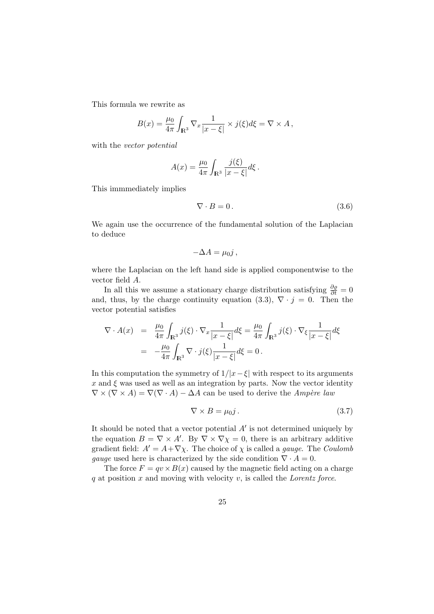This formula we rewrite as

$$
B(x) = \frac{\mu_0}{4\pi} \int_{\mathbb{R}^3} \nabla_x \frac{1}{|x - \xi|} \times j(\xi) d\xi = \nabla \times A,
$$

with the *vector* potential

$$
A(x) = \frac{\mu_0}{4\pi} \int_{\mathbb{R}^3} \frac{j(\xi)}{|x - \xi|} d\xi.
$$

This immmediately implies

$$
\nabla \cdot B = 0. \tag{3.6}
$$

We again use the occurrence of the fundamental solution of the Laplacian to deduce

$$
-\Delta A = \mu_0 j,
$$

where the Laplacian on the left hand side is applied componentwise to the vector field A.

In all this we assume a stationary charge distribution satisfying  $\frac{\partial \varrho}{\partial t} = 0$ and, thus, by the charge continuity equation (3.3),  $\nabla \cdot j = 0$ . Then the vector potential satisfies

$$
\nabla \cdot A(x) = \frac{\mu_0}{4\pi} \int_{\mathbb{R}^3} j(\xi) \cdot \nabla_x \frac{1}{|x - \xi|} d\xi = \frac{\mu_0}{4\pi} \int_{\mathbb{R}^3} j(\xi) \cdot \nabla_\xi \frac{1}{|x - \xi|} d\xi
$$
  
= 
$$
-\frac{\mu_0}{4\pi} \int_{\mathbb{R}^3} \nabla \cdot j(\xi) \frac{1}{|x - \xi|} d\xi = 0.
$$

In this computation the symmetry of  $1/|x-\xi|$  with respect to its arguments  $x$  and  $\xi$  was used as well as an integration by parts. Now the vector identity  $\nabla \times (\nabla \times A) = \nabla (\nabla \cdot A) - \Delta A$  can be used to derive the Ampère law

$$
\nabla \times B = \mu_0 j. \tag{3.7}
$$

It should be noted that a vector potential  $A'$  is not determined uniquely by the equation  $B = \nabla \times A'$ . By  $\nabla \times \nabla \chi = 0$ , there is an arbitrary additive gradient field:  $A' = A + \nabla \chi$ . The choice of  $\chi$  is called a *gauge*. The *Coulomb* qauge used here is characterized by the side condition  $\nabla \cdot A = 0$ .

The force  $F = av \times B(x)$  caused by the magnetic field acting on a charge  $q$  at position  $x$  and moving with velocity  $v$ , is called the *Lorentz force*.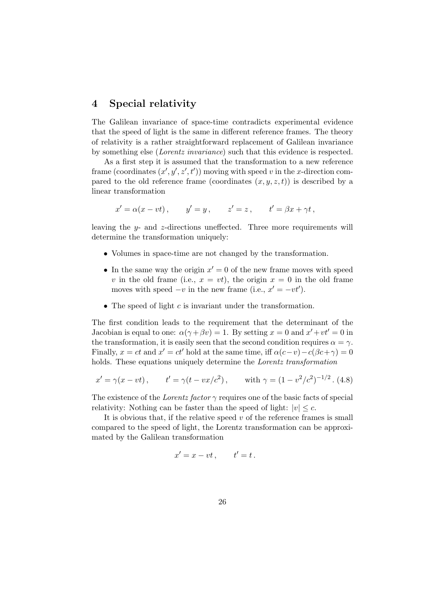# 4 Special relativity

The Galilean invariance of space-time contradicts experimental evidence that the speed of light is the same in different reference frames. The theory of relativity is a rather straightforward replacement of Galilean invariance by something else (Lorentz invariance) such that this evidence is respected.

As a first step it is assumed that the transformation to a new reference frame (coordinates  $(x', y', z', t')$ ) moving with speed v in the x-direction compared to the old reference frame (coordinates  $(x, y, z, t)$ ) is described by a linear transformation

$$
x' = \alpha(x - vt), \qquad y' = y, \qquad z' = z, \qquad t' = \beta x + \gamma t,
$$

leaving the y- and z-directions uneffected. Three more requirements will determine the transformation uniquely:

- Volumes in space-time are not changed by the transformation.
- In the same way the origin  $x' = 0$  of the new frame moves with speed v in the old frame (i.e.,  $x = vt$ ), the origin  $x = 0$  in the old frame moves with speed  $-v$  in the new frame (i.e.,  $x' = -vt'$ ).
- The speed of light  $c$  is invariant under the transformation.

The first condition leads to the requirement that the determinant of the Jacobian is equal to one:  $\alpha(\gamma + \beta v) = 1$ . By setting  $x = 0$  and  $x' + vt' = 0$  in the transformation, it is easily seen that the second condition requires  $\alpha = \gamma$ . Finally,  $x = ct$  and  $x' = ct'$  hold at the same time, iff  $\alpha(c-v) - c(\beta c + \gamma) = 0$ holds. These equations uniquely determine the Lorentz transformation

$$
x' = \gamma(x - vt)
$$
,  $t' = \gamma(t - vx/c^2)$ , with  $\gamma = (1 - v^2/c^2)^{-1/2}$ . (4.8)

The existence of the Lorentz factor  $\gamma$  requires one of the basic facts of special relativity: Nothing can be faster than the speed of light:  $|v| \leq c$ .

It is obvious that, if the relative speed  $v$  of the reference frames is small compared to the speed of light, the Lorentz transformation can be approximated by the Galilean transformation

$$
x' = x - vt, \qquad t' = t \, .
$$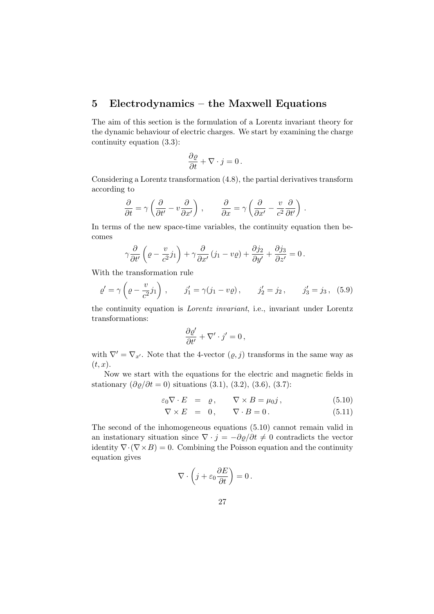# 5 Electrodynamics – the Maxwell Equations

The aim of this section is the formulation of a Lorentz invariant theory for the dynamic behaviour of electric charges. We start by examining the charge continuity equation (3.3):

$$
\frac{\partial \varrho}{\partial t} + \nabla \cdot j = 0 \, .
$$

Considering a Lorentz transformation (4.8), the partial derivatives transform according to

$$
\frac{\partial}{\partial t} = \gamma \left( \frac{\partial}{\partial t'} - v \frac{\partial}{\partial x'} \right) , \qquad \frac{\partial}{\partial x} = \gamma \left( \frac{\partial}{\partial x'} - \frac{v}{c^2} \frac{\partial}{\partial t'} \right) .
$$

In terms of the new space-time variables, the continuity equation then becomes

$$
\gamma \frac{\partial}{\partial t'} \left( \varrho - \frac{v}{c^2} j_1 \right) + \gamma \frac{\partial}{\partial x'} \left( j_1 - v \varrho \right) + \frac{\partial j_2}{\partial y'} + \frac{\partial j_3}{\partial z'} = 0 \, .
$$

With the transformation rule

$$
\varrho' = \gamma \left( \varrho - \frac{v}{c^2} j_1 \right) , \qquad j_1' = \gamma (j_1 - v \varrho) , \qquad j_2' = j_2 , \qquad j_3' = j_3 , \quad (5.9)
$$

the continuity equation is Lorentz invariant, i.e., invariant under Lorentz transformations:

$$
\frac{\partial \varrho'}{\partial t'} + \nabla' \cdot j' = 0 \,,
$$

with  $\nabla' = \nabla_{x'}$ . Note that the 4-vector  $(\rho, j)$  transforms in the same way as  $(t, x)$ .

Now we start with the equations for the electric and magnetic fields in stationary  $(\partial \varrho / \partial t = 0)$  situations (3.1), (3.2), (3.6), (3.7):

$$
\varepsilon_0 \nabla \cdot E = \varrho, \qquad \nabla \times B = \mu_0 j, \tag{5.10}
$$

$$
\nabla \times E = 0, \qquad \nabla \cdot B = 0. \tag{5.11}
$$

The second of the inhomogeneous equations (5.10) cannot remain valid in an instationary situation since  $\nabla \cdot j = -\partial \varrho / \partial t \neq 0$  contradicts the vector identity  $\nabla \cdot (\nabla \times B) = 0$ . Combining the Poisson equation and the continuity equation gives

$$
\nabla \cdot \left( j + \varepsilon_0 \frac{\partial E}{\partial t} \right) = 0 \, .
$$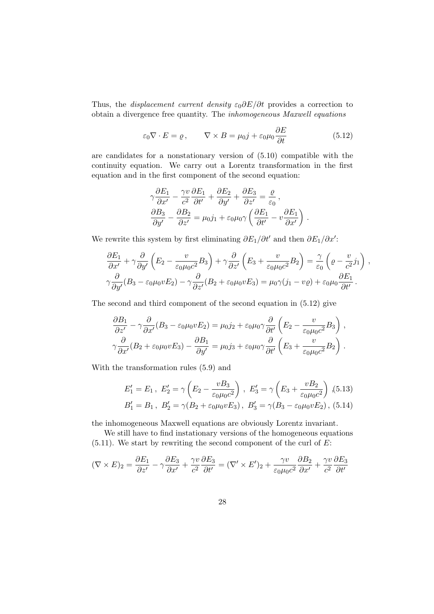Thus, the *displacement current density*  $\varepsilon_0 \frac{\partial E}{\partial t}$  provides a correction to obtain a divergence free quantity. The inhomogeneous Maxwell equations

$$
\varepsilon_0 \nabla \cdot E = \varrho, \qquad \nabla \times B = \mu_0 j + \varepsilon_0 \mu_0 \frac{\partial E}{\partial t}
$$
 (5.12)

are candidates for a nonstationary version of (5.10) compatible with the continuity equation. We carry out a Lorentz transformation in the first equation and in the first component of the second equation:

$$
\gamma \frac{\partial E_1}{\partial x'} - \frac{\gamma v}{c^2} \frac{\partial E_1}{\partial t'} + \frac{\partial E_2}{\partial y'} + \frac{\partial E_3}{\partial z'} = \frac{\varrho}{\varepsilon_0},
$$
  

$$
\frac{\partial B_3}{\partial y'} - \frac{\partial B_2}{\partial z'} = \mu_0 j_1 + \varepsilon_0 \mu_0 \gamma \left( \frac{\partial E_1}{\partial t'} - v \frac{\partial E_1}{\partial x'} \right).
$$

We rewrite this system by first eliminating  $\partial E_1/\partial t'$  and then  $\partial E_1/\partial x'$ :

$$
\frac{\partial E_1}{\partial x'} + \gamma \frac{\partial}{\partial y'} \left( E_2 - \frac{v}{\varepsilon_0 \mu_0 c^2} B_3 \right) + \gamma \frac{\partial}{\partial z'} \left( E_3 + \frac{v}{\varepsilon_0 \mu_0 c^2} B_2 \right) = \frac{\gamma}{\varepsilon_0} \left( \varrho - \frac{v}{c^2} j_1 \right) ,
$$
  

$$
\gamma \frac{\partial}{\partial y'} (B_3 - \varepsilon_0 \mu_0 v E_2) - \gamma \frac{\partial}{\partial z'} (B_2 + \varepsilon_0 \mu_0 v E_3) = \mu_0 \gamma (j_1 - v \varrho) + \varepsilon_0 \mu_0 \frac{\partial E_1}{\partial t'}.
$$

The second and third component of the second equation in (5.12) give

$$
\frac{\partial B_1}{\partial z'} - \gamma \frac{\partial}{\partial x'} (B_3 - \varepsilon_0 \mu_0 v E_2) = \mu_0 j_2 + \varepsilon_0 \mu_0 \gamma \frac{\partial}{\partial t'} \left( E_2 - \frac{v}{\varepsilon_0 \mu_0 c^2} B_3 \right) ,
$$
  

$$
\gamma \frac{\partial}{\partial x'} (B_2 + \varepsilon_0 \mu_0 v E_3) - \frac{\partial B_1}{\partial y'} = \mu_0 j_3 + \varepsilon_0 \mu_0 \gamma \frac{\partial}{\partial t'} \left( E_3 + \frac{v}{\varepsilon_0 \mu_0 c^2} B_2 \right) .
$$

With the transformation rules (5.9) and

$$
E'_1 = E_1, E'_2 = \gamma \left( E_2 - \frac{vB_3}{\varepsilon_0 \mu_0 c^2} \right), E'_3 = \gamma \left( E_3 + \frac{vB_2}{\varepsilon_0 \mu_0 c^2} \right), (5.13)
$$
  

$$
B'_1 = B_1, B'_2 = \gamma (B_2 + \varepsilon_0 \mu_0 v E_3), B'_3 = \gamma (B_3 - \varepsilon_0 \mu_0 v E_2), (5.14)
$$

the inhomogeneous Maxwell equations are obviously Lorentz invariant.

We still have to find instationary versions of the homogeneous equations  $(5.11)$ . We start by rewriting the second component of the curl of E:

$$
(\nabla \times E)_2 = \frac{\partial E_1}{\partial z'} - \gamma \frac{\partial E_3}{\partial x'} + \frac{\gamma v}{c^2} \frac{\partial E_3}{\partial t'} = (\nabla' \times E')_2 + \frac{\gamma v}{\varepsilon_0 \mu_0 c^2} \frac{\partial B_2}{\partial x'} + \frac{\gamma v}{c^2} \frac{\partial E_3}{\partial t'}
$$